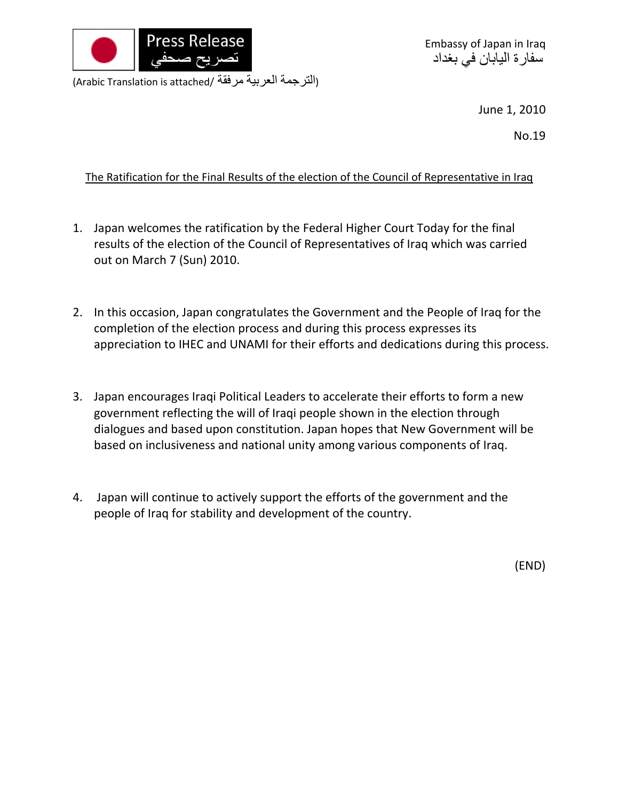

Embassy of Japan in Iraq سفارة اليابان في بغداد

(Arabic Translation is attached/ مرفقة العربية الترجمة(

June 1, 2010

No.19

## The Ratification for the Final Results of the election of the Council of Representative in Iraq

- 1. Japan welcomes the ratification by the Federal Higher Court Today for the final results of the election of the Council of Representatives of Iraq which was carried out on March 7 (Sun) 2010.
- 2. In this occasion, Japan congratulates the Government and the People of Iraq for the completion of the election process and during this process expresses its appreciation to IHEC and UNAMI for their efforts and dedications during this process.
- 3. Japan encourages Iraqi Political Leaders to accelerate their efforts to form a new government reflecting the will of Iraqi people shown in the election through dialogues and based upon constitution. Japan hopes that New Government will be based on inclusiveness and national unity among various components of Iraq.
- 4. Japan will continue to actively support the efforts of the government and the people of Iraq for stability and development of the country.

(END)